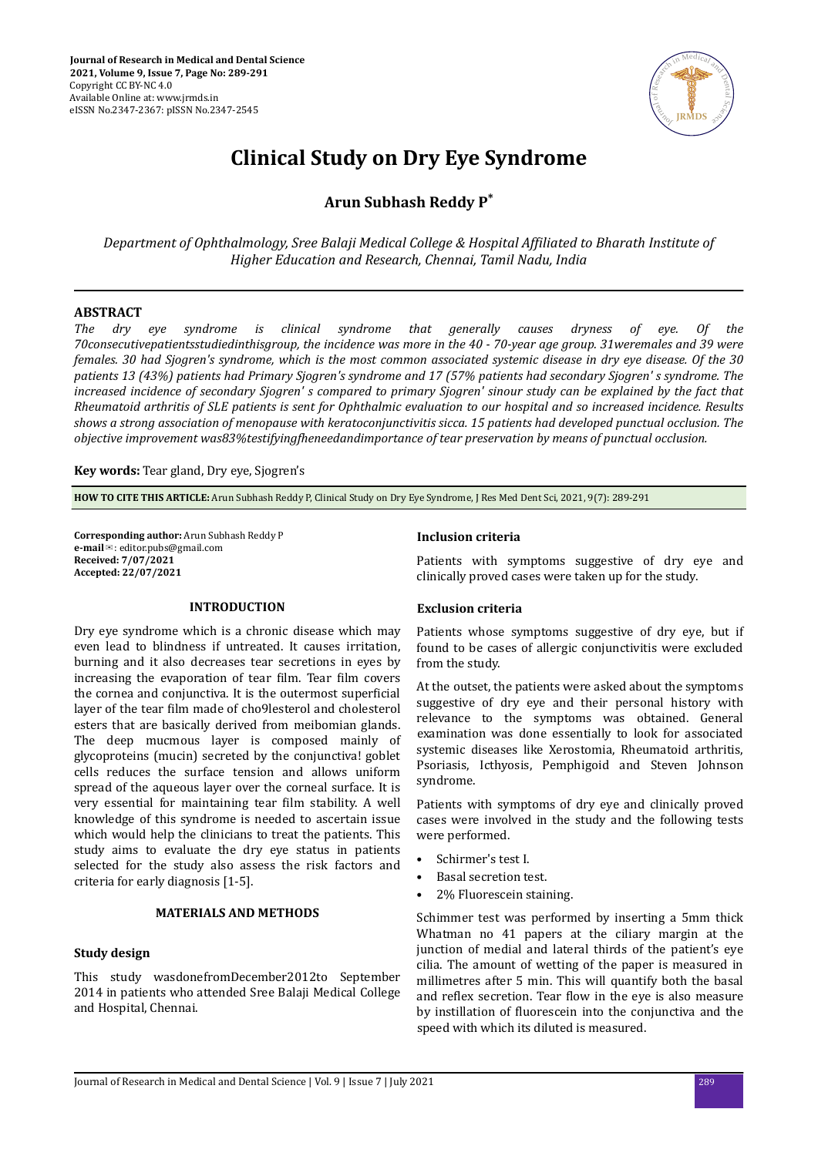

# **Clinical Study on Dry Eye Syndrome**

**Arun Subhash Reddy P\***

*Department of Ophthalmology, Sree Balaji Medical College & Hospital Affiliated to Bharath Institute of Higher Education and Research, Chennai, Tamil Nadu, India*

## **ABSTRACT**

*The dry eye syndrome is clinical syndrome that generally causes dryness of eye. Of the 70consecutivepatientsstudiedinthisgroup, the incidence was more in the 40 - 70-year age group. 31weremales and 39 were females. 30 had Sjogren's syndrome, which is the most common associated systemic disease in dry eye disease. Of the 30 patients 13 (43%) patients had Primary Sjogren's syndrome and 17 (57% patients had secondary Sjogren' s syndrome. The increased incidence of secondary Sjogren' s compared to primary Sjogren' sinour study can be explained by the fact that Rheumatoid arthritis of SLE patients is sent for Ophthalmic evaluation to our hospital and so increased incidence. Results shows a strong association of menopause with keratoconjunctivitis sicca. 15 patients had developed punctual occlusion. The objective improvement s;άtestifingϔheneedndimportnce of tear preservation by means of punctual occlusion.*

**Key words:** Tear gland, Dry eye, Sjogren's

**HOW TO CITE THIS ARTICLE:** Arun Subhash Reddy P, Clinical Study on Dry Eye Syndrome, J Res Med Dent Sci, 2021, 9(7): 289-291

**Corresponding author:** Arun Subhash Reddy P **e-mail**✉: editor.pubs@gmail.com **Received: 7/07/2021 Accepted: 22/07/2021** 

## **INTRODUCTION**

Dry eye syndrome which is a chronic disease which may even lead to blindness if untreated. It causes irritation, burning and it also decreases tear secretions in eyes by increasing the evaporation of tear film. Tear film covers the cornea and conjunctiva. It is the outermost superficial layer of the tear film made of cho9lesterol and cholesterol esters that are basically derived from meibomian glands. The deep mucmous layer is composed mainly of glycoproteins (mucin) secreted by the conjunctiva! goblet cells reduces the surface tension and allows uniform spread of the aqueous layer over the corneal surface. It is very essential for maintaining tear film stability. A well knowledge of this syndrome is needed to ascertain issue which would help the clinicians to treat the patients. This study aims to evaluate the dry eye status in patients selected for the study also assess the risk factors and criteria for early diagnosis [1-5].

## **MATERIALS AND METHODS**

#### **Study design**

This study wasdonefromDecember2012to September 2014 in patients who attended Sree Balaji Medical College and Hospital, Chennai.

#### **Inclusion criteria**

Patients with symptoms suggestive of dry eye and clinically proved cases were taken up for the study.

#### **Exclusion criteria**

Patients whose symptoms suggestive of dry eve, but if found to be cases of allergic conjunctivitis were excluded from the study.

At the outset, the patients were asked about the symptoms suggestive of dry eye and their personal history with relevance to the symptoms was obtained. General examination was done essentially to look for associated systemic diseases like Xerostomia, Rheumatoid arthritis, Psoriasis, Icthyosis, Pemphigoid and Steven Johnson syndrome.

Patients with symptoms of dry eye and clinically proved cases were involved in the study and the following tests were performed.

- Schirmer's test I.
- Basal secretion test.
- 2% Fluorescein staining.

Schimmer test was performed by inserting a 5mm thick Whatman no 41 papers at the ciliary margin at the junction of medial and lateral thirds of the patient's eye cilia. The amount of wetting of the paper is measured in millimetres after 5 min. This will quantify both the basal and reflex secretion. Tear flow in the eye is also measure by instillation of fluorescein into the conjunctiva and the speed with which its diluted is measured.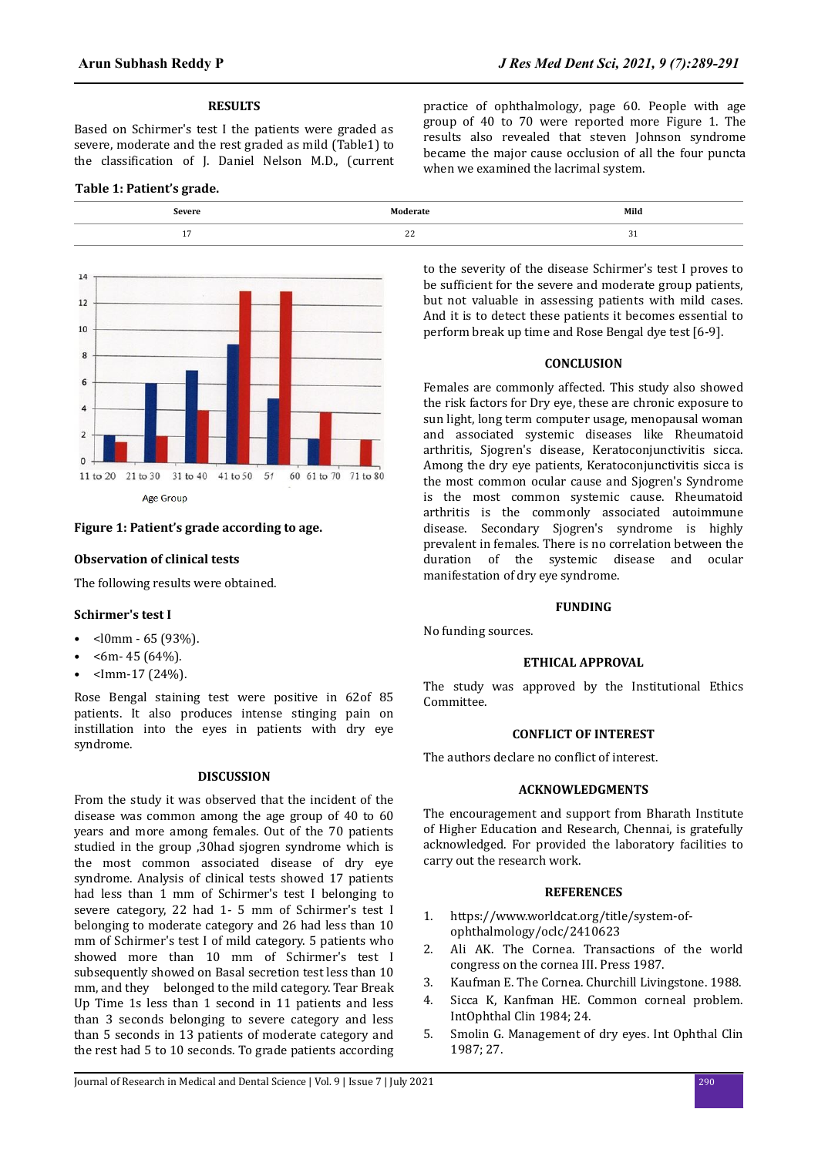## **RESULTS**

Based on Schirmer's test I the patients were graded as severe, moderate and the rest graded as mild (Table1) to the classification of I. Daniel Nelson M.D., (current

## **Table 1: Patient's grade.**



## **Figure 1: Patient's grade according to age.**

#### **Observation of clinical tests**

The following results were obtained.

#### **Schirmer's test I**

- <l0mm 65 (93%).
- $$\text{\textdegree}$-6m$$ -45 (64%).
- $\text{Imm-17} (24\%)$ .

Rose Bengal staining test were positive in 62of 85 patients. It also produces intense stinging pain on instillation into the eyes in patients with dry eye syndrome.

# **DISCUSSION**

From the study it was observed that the incident of the disease was common among the age group of 40 to 60 years and more among females. Out of the 70 patients studied in the group ,30had sjogren syndrome which is the most common associated disease of dry eye syndrome. Analysis of clinical tests showed 17 patients had less than 1 mm of Schirmer's test I belonging to severe category, 22 had 1- 5 mm of Schirmer's test I belonging to moderate category and 26 had less than 10 mm of Schirmer's test I of mild category. 5 patients who showed more than 10 mm of Schirmer's test I subsequently showed on Basal secretion test less than 10 mm, and they belonged to the mild category. Tear Break Up Time 1s less than 1 second in 11 patients and less than 3 seconds belonging to severe category and less than 5 seconds in 13 patients of moderate category and the rest had 5 to 10 seconds. To grade patients according

practice of ophthalmology, page 60. People with age group of 40 to 70 were reported more Figure 1. The results also revealed that steven Johnson syndrome became the major cause occlusion of all the four puncta when we examined the lacrimal system.

to the severity of the disease Schirmer's test I proves to be sufficient for the severe and moderate group patients, but not valuable in assessing patients with mild cases. And it is to detect these patients it becomes essential to perform break up time and Rose Bengal dye test [6-9].

#### **CONCLUSION**

Females are commonly affected. This study also showed the risk factors for Dry eye, these are chronic exposure to sun light, long term computer usage, menopausal woman and associated systemic diseases like Rheumatoid arthritis, Sjogren's disease, Keratoconjunctivitis sicca. Among the dry eye patients, Keratoconjunctivitis sicca is the most common ocular cause and Sjogren's Syndrome is the most common systemic cause. Rheumatoid arthritis is the commonly associated autoimmune disease. Secondary Sjogren's syndrome is highly prevalent in females. There is no correlation between the duration of the systemic disease and ocular manifestation of dry eye syndrome.

#### **FUNDING**

No funding sources.

#### **ETHICAL APPROVAL**

The study was approved by the Institutional Ethics Committee.

## **CONFLICT OF INTEREST**

The authors declare no conflict of interest.

#### **ACKNOWLEDGMENTS**

The encouragement and support from Bharath Institute of Higher Education and Research, Chennai, is gratefully acknowledged. For provided the laboratory facilities to carry out the research work.

## **REFERENCES**

- 1. https://www.worldcat.org/title/system-ofophthalmology/oclc/2410623
- 2. Ali AK. The Cornea. Transactions of the world congress on the cornea III. Press 1987.
- 3. Kaufman E. The Cornea. Churchill Livingstone. 1988.
- 4. Sicca K, Kanfman HE. Common corneal problem. IntOphthal Clin 1984; 24.
- 5. Smolin G. Management of dry eyes. Int Ophthal Clin 1987; 27.